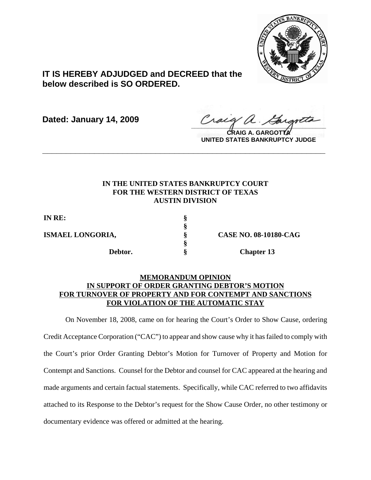

# **IT IS HEREBY ADJUDGED and DECREED that the below described is SO ORDERED.**

**Dated: January 14, 2009**

Craeg a. Cargota

**CRAIG A. GARGOTTA UNITED STATES BANKRUPTCY JUDGE**

# **IN THE UNITED STATES BANKRUPTCY COURT FOR THE WESTERN DISTRICT OF TEXAS AUSTIN DIVISION**

**\_\_\_\_\_\_\_\_\_\_\_\_\_\_\_\_\_\_\_\_\_\_\_\_\_\_\_\_\_\_\_\_\_\_\_\_\_\_\_\_\_\_\_\_\_\_\_\_\_\_\_\_\_\_\_\_\_\_\_\_**

**§**

**§**

**IN RE: §**

**ISMAEL LONGORIA, § CASE NO. 08-10180-CAG Debtor.** § Chapter 13

# **MEMORANDUM OPINION IN SUPPORT OF ORDER GRANTING DEBTOR'S MOTION FOR TURNOVER OF PROPERTY AND FOR CONTEMPT AND SANCTIONS FOR VIOLATION OF THE AUTOMATIC STAY**

On November 18, 2008, came on for hearing the Court's Order to Show Cause, ordering Credit Acceptance Corporation ("CAC") to appear and show cause why it has failed to comply with the Court's prior Order Granting Debtor's Motion for Turnover of Property and Motion for Contempt and Sanctions. Counsel for the Debtor and counsel for CAC appeared at the hearing and made arguments and certain factual statements. Specifically, while CAC referred to two affidavits attached to its Response to the Debtor's request for the Show Cause Order, no other testimony or documentary evidence was offered or admitted at the hearing.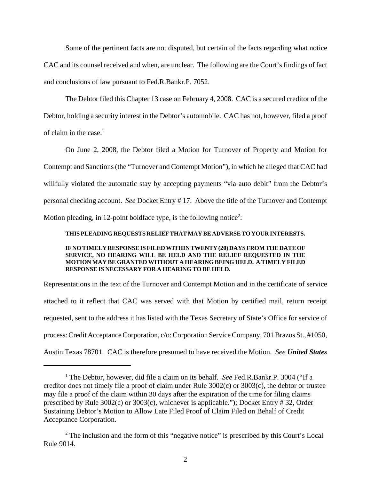Some of the pertinent facts are not disputed, but certain of the facts regarding what notice CAC and its counsel received and when, are unclear. The following are the Court's findings of fact and conclusions of law pursuant to Fed.R.Bankr.P. 7052.

The Debtor filed this Chapter 13 case on February 4, 2008. CAC is a secured creditor of the Debtor, holding a security interest in the Debtor's automobile. CAC has not, however, filed a proof of claim in the case. $<sup>1</sup>$ </sup>

On June 2, 2008, the Debtor filed a Motion for Turnover of Property and Motion for Contempt and Sanctions (the "Turnover and Contempt Motion"), in which he alleged that CAC had willfully violated the automatic stay by accepting payments "via auto debit" from the Debtor's personal checking account. *See* Docket Entry # 17. Above the title of the Turnover and Contempt Motion pleading, in 12-point boldface type, is the following notice<sup>2</sup>:

#### **THISPLEADINGREQUESTSRELIEFTHATMAYBEADVERSETOYOURINTERESTS.**

## **IFNOTIMELYRESPONSEISFILEDWITHINTWENTY(20)DAYSFROMTHEDATEOF SERVICE, NO HEARING WILL BE HELD AND THE RELIEF REQUESTED IN THE MOTION MAY BE GRANTED WITHOUT A HEARING BEING HELD. A TIMELY FILED RESPONSE IS NECESSARY FOR A HEARING TO BE HELD.**

Representations in the text of the Turnover and Contempt Motion and in the certificate of service attached to it reflect that CAC was served with that Motion by certified mail, return receipt requested, sent to the address it has listed with the Texas Secretary of State's Office for service of process: Credit Acceptance Corporation, c/o: Corporation Service Company, 701 Brazos St., #1050, Austin Texas 78701. CAC is therefore presumed to have received the Motion. *See United States*

<sup>&</sup>lt;sup>1</sup> The Debtor, however, did file a claim on its behalf. *See* Fed.R.Bankr.P. 3004 ("If a creditor does not timely file a proof of claim under Rule 3002(c) or 3003(c), the debtor or trustee may file a proof of the claim within 30 days after the expiration of the time for filing claims prescribed by Rule 3002(c) or 3003(c), whichever is applicable."); Docket Entry # 32, Order Sustaining Debtor's Motion to Allow Late Filed Proof of Claim Filed on Behalf of Credit Acceptance Corporation.

<sup>&</sup>lt;sup>2</sup> The inclusion and the form of this "negative notice" is prescribed by this Court's Local Rule 9014.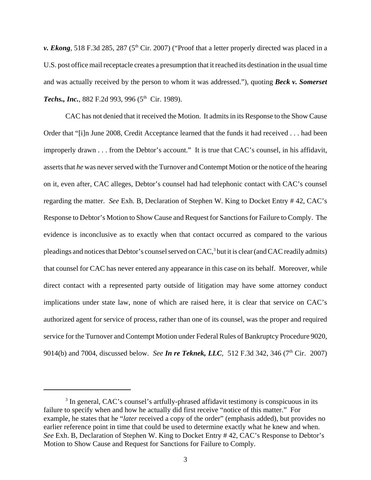*v. Ekong*, 518 F.3d 285, 287 (5<sup>th</sup> Cir. 2007) ("Proof that a letter properly directed was placed in a U.S. post office mail receptacle creates a presumption that it reached its destination in the usual time and was actually received by the person to whom it was addressed."), quoting *Beck v. Somerset* **Techs., Inc.**, 882 F.2d 993, 996 (5<sup>th</sup> Cir. 1989).

CAC has not denied that it received the Motion. It admits in its Response to the Show Cause Order that "[i]n June 2008, Credit Acceptance learned that the funds it had received . . . had been improperly drawn . . . from the Debtor's account." It is true that CAC's counsel, in his affidavit, asserts that *he* was never served with the Turnover and Contempt Motion or the notice of the hearing on it, even after, CAC alleges, Debtor's counsel had had telephonic contact with CAC's counsel regarding the matter. *See* Exh. B, Declaration of Stephen W. King to Docket Entry # 42, CAC's Response to Debtor's Motion to Show Cause and Request for Sanctions for Failure to Comply. The evidence is inconclusive as to exactly when that contact occurred as compared to the various pleadings and notices that Debtor's counsel served on CAC,<sup>3</sup> but it is clear (and CAC readily admits) that counsel for CAC has never entered any appearance in this case on its behalf. Moreover, while direct contact with a represented party outside of litigation may have some attorney conduct implications under state law, none of which are raised here, it is clear that service on CAC's authorized agent for service of process, rather than one of its counsel, was the proper and required service for the Turnover and Contempt Motion under Federal Rules of Bankruptcy Procedure 9020, 9014(b) and 7004, discussed below. *See In re Teknek, LLC*, 512 F.3d 342, 346 (7<sup>th</sup> Cir. 2007)

<sup>&</sup>lt;sup>3</sup> In general, CAC's counsel's artfully-phrased affidavit testimony is conspicuous in its failure to specify when and how he actually did first receive "notice of this matter." For example, he states that he "*later* received a copy of the order" (emphasis added), but provides no earlier reference point in time that could be used to determine exactly what he knew and when. *See* Exh. B, Declaration of Stephen W. King to Docket Entry # 42, CAC's Response to Debtor's Motion to Show Cause and Request for Sanctions for Failure to Comply.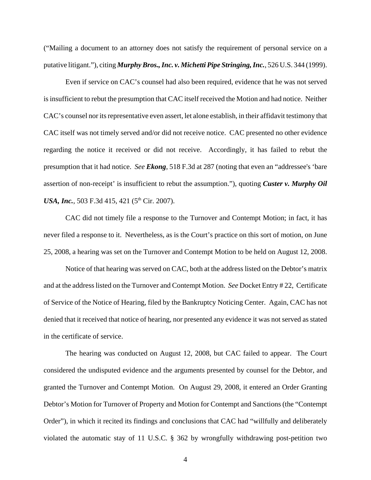("Mailing a document to an attorney does not satisfy the requirement of personal service on a putative litigant."), citing *Murphy Bros., Inc. v. Michetti Pipe Stringing, Inc.*, 526 U.S. 344 (1999).

Even if service on CAC's counsel had also been required, evidence that he was not served is insufficient to rebut the presumption that CAC itself received the Motion and had notice. Neither CAC's counsel nor its representative even assert, let alone establish, in their affidavit testimony that CAC itself was not timely served and/or did not receive notice. CAC presented no other evidence regarding the notice it received or did not receive. Accordingly, it has failed to rebut the presumption that it had notice. *See Ekong*, 518 F.3d at 287 (noting that even an "addressee's 'bare assertion of non-receipt' is insufficient to rebut the assumption."), quoting *Custer v. Murphy Oil USA, Inc.*, 503 F.3d 415, 421 (5<sup>th</sup> Cir. 2007).

CAC did not timely file a response to the Turnover and Contempt Motion; in fact, it has never filed a response to it. Nevertheless, as is the Court's practice on this sort of motion, on June 25, 2008, a hearing was set on the Turnover and Contempt Motion to be held on August 12, 2008.

Notice of that hearing was served on CAC, both at the address listed on the Debtor's matrix and at the address listed on the Turnover and Contempt Motion. *See* Docket Entry # 22, Certificate of Service of the Notice of Hearing, filed by the Bankruptcy Noticing Center. Again, CAC has not denied that it received that notice of hearing, nor presented any evidence it was not served as stated in the certificate of service.

The hearing was conducted on August 12, 2008, but CAC failed to appear. The Court considered the undisputed evidence and the arguments presented by counsel for the Debtor, and granted the Turnover and Contempt Motion. On August 29, 2008, it entered an Order Granting Debtor's Motion for Turnover of Property and Motion for Contempt and Sanctions (the "Contempt Order"), in which it recited its findings and conclusions that CAC had "willfully and deliberately violated the automatic stay of 11 U.S.C. § 362 by wrongfully withdrawing post-petition two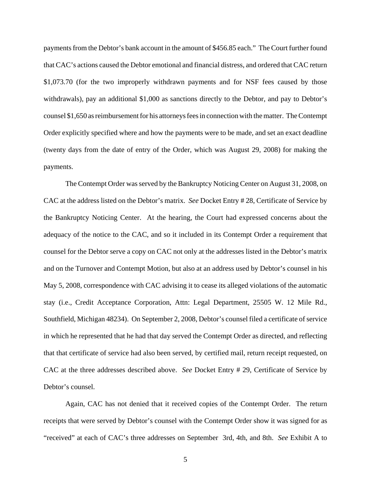payments from the Debtor's bank account in the amount of \$456.85 each." The Court further found that CAC's actions caused the Debtor emotional and financial distress, and ordered that CAC return \$1,073.70 (for the two improperly withdrawn payments and for NSF fees caused by those withdrawals), pay an additional \$1,000 as sanctions directly to the Debtor, and pay to Debtor's counsel \$1,650 as reimbursement for his attorneys fees in connection with the matter. The Contempt Order explicitly specified where and how the payments were to be made, and set an exact deadline (twenty days from the date of entry of the Order, which was August 29, 2008) for making the payments.

The Contempt Order was served by the Bankruptcy Noticing Center on August 31, 2008, on CAC at the address listed on the Debtor's matrix. *See* Docket Entry # 28, Certificate of Service by the Bankruptcy Noticing Center. At the hearing, the Court had expressed concerns about the adequacy of the notice to the CAC, and so it included in its Contempt Order a requirement that counsel for the Debtor serve a copy on CAC not only at the addresses listed in the Debtor's matrix and on the Turnover and Contempt Motion, but also at an address used by Debtor's counsel in his May 5, 2008, correspondence with CAC advising it to cease its alleged violations of the automatic stay (i.e., Credit Acceptance Corporation, Attn: Legal Department, 25505 W. 12 Mile Rd., Southfield, Michigan 48234). On September 2, 2008, Debtor's counsel filed a certificate of service in which he represented that he had that day served the Contempt Order as directed, and reflecting that that certificate of service had also been served, by certified mail, return receipt requested, on CAC at the three addresses described above. *See* Docket Entry # 29, Certificate of Service by Debtor's counsel.

Again, CAC has not denied that it received copies of the Contempt Order. The return receipts that were served by Debtor's counsel with the Contempt Order show it was signed for as "received" at each of CAC's three addresses on September 3rd, 4th, and 8th. *See* Exhibit A to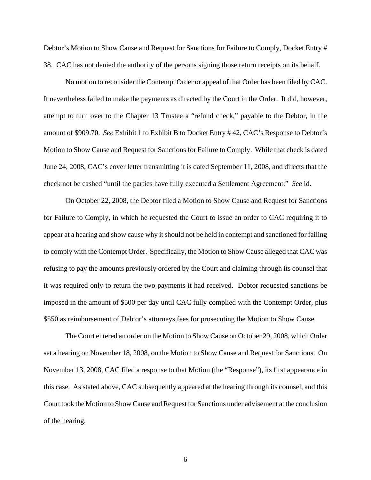Debtor's Motion to Show Cause and Request for Sanctions for Failure to Comply, Docket Entry # 38. CAC has not denied the authority of the persons signing those return receipts on its behalf.

No motion to reconsider the Contempt Order or appeal of that Order has been filed by CAC. It nevertheless failed to make the payments as directed by the Court in the Order. It did, however, attempt to turn over to the Chapter 13 Trustee a "refund check," payable to the Debtor, in the amount of \$909.70. *See* Exhibit 1 to Exhibit B to Docket Entry # 42, CAC's Response to Debtor's Motion to Show Cause and Request for Sanctions for Failure to Comply. While that check is dated June 24, 2008, CAC's cover letter transmitting it is dated September 11, 2008, and directs that the check not be cashed "until the parties have fully executed a Settlement Agreement." *See* id.

On October 22, 2008, the Debtor filed a Motion to Show Cause and Request for Sanctions for Failure to Comply, in which he requested the Court to issue an order to CAC requiring it to appear at a hearing and show cause why it should not be held in contempt and sanctioned for failing to comply with the Contempt Order. Specifically, the Motion to Show Cause alleged that CAC was refusing to pay the amounts previously ordered by the Court and claiming through its counsel that it was required only to return the two payments it had received. Debtor requested sanctions be imposed in the amount of \$500 per day until CAC fully complied with the Contempt Order, plus \$550 as reimbursement of Debtor's attorneys fees for prosecuting the Motion to Show Cause.

The Court entered an order on the Motion to Show Cause on October 29, 2008, which Order set a hearing on November 18, 2008, on the Motion to Show Cause and Request for Sanctions. On November 13, 2008, CAC filed a response to that Motion (the "Response"), its first appearance in this case. As stated above, CAC subsequently appeared at the hearing through its counsel, and this Court took the Motion to Show Cause and Request for Sanctions under advisement at the conclusion of the hearing.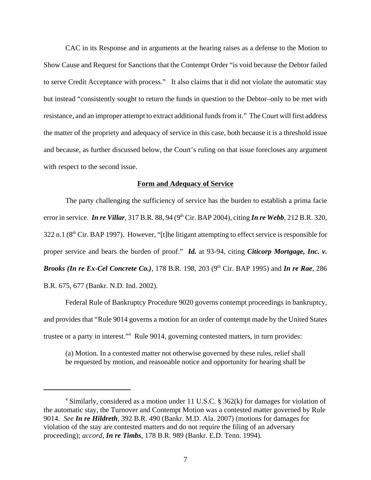CAC in its Response and in arguments at the hearing raises as a defense to the Motion to Show Cause and Request for Sanctions that the Contempt Order "is void because the Debtor failed to serve Credit Acceptance with process." It also claims that it did not violate the automatic stay but instead "consistently sought to return the funds in question to the Debtor–only to be met with resistance, and an improper attempt to extract additional funds from it." The Court will first address the matter of the propriety and adequacy of service in this case, both because it is a threshold issue and because, as further discussed below, the Court's ruling on that issue forecloses any argument with respect to the second issue.

## **Form and Adequacy of Service**

The party challenging the sufficiency of service has the burden to establish a prima facie error in service. *In re Villar*, 317 B.R. 88, 94 (9<sup>th</sup> Cir. BAP 2004), citing *In re Webb*, 212 B.R. 320,  $322$  n.1 ( $8<sup>th</sup>$  Cir. BAP 1997). However, "[t]he litigant attempting to effect service is responsible for proper service and bears the burden of proof." *Id.* at 93-94, citing *Citicorp Mortgage, Inc. v. Brooks (In re Ex-Cel Concrete Co.), 178 B.R. 198, 203 (9<sup>th</sup> Cir. BAP 1995) and <i>In re Rae*, 286 B.R. 675, 677 (Bankr. N.D. Ind. 2002).

Federal Rule of Bankruptcy Procedure 9020 governs contempt proceedings in bankruptcy, and provides that "Rule 9014 governs a motion for an order of contempt made by the United States trustee or a party in interest."4 Rule 9014, governing contested matters, in turn provides:

(a) Motion. In a contested matter not otherwise governed by these rules, relief shall be requested by motion, and reasonable notice and opportunity for hearing shall be

<sup>&</sup>lt;sup>4</sup> Similarly, considered as a motion under 11 U.S.C. § 362(k) for damages for violation of the automatic stay, the Turnover and Contempt Motion was a contested matter governed by Rule 9014. *See In re Hildreth*, 392 B.R. 490 (Bankr. M.D. Ala. 2007) (motions for damages for violation of the stay are contested matters and do not require the filing of an adversary proceeding); *accord, In re Timbs*, 178 B.R. 989 (Bankr. E.D. Tenn. 1994).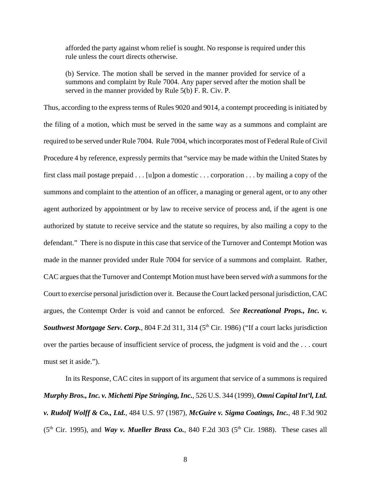afforded the party against whom relief is sought. No response is required under this rule unless the court directs otherwise.

(b) Service. The motion shall be served in the manner provided for service of a summons and complaint by Rule 7004. Any paper served after the motion shall be served in the manner provided by Rule 5(b) F. R. Civ. P.

Thus, according to the express terms of Rules 9020 and 9014, a contempt proceeding is initiated by the filing of a motion, which must be served in the same way as a summons and complaint are required to be served under Rule 7004. Rule 7004, which incorporates most of Federal Rule of Civil Procedure 4 by reference, expressly permits that "service may be made within the United States by first class mail postage prepaid . . . [u]pon a domestic . . . corporation . . . by mailing a copy of the summons and complaint to the attention of an officer, a managing or general agent, or to any other agent authorized by appointment or by law to receive service of process and, if the agent is one authorized by statute to receive service and the statute so requires, by also mailing a copy to the defendant." There is no dispute in this case that service of the Turnover and Contempt Motion was made in the manner provided under Rule 7004 for service of a summons and complaint. Rather, CAC argues that the Turnover and Contempt Motion must have been served *with* a summons for the Court to exercise personal jurisdiction over it. Because the Court lacked personal jurisdiction, CAC argues, the Contempt Order is void and cannot be enforced. *See Recreational Props., Inc. v. Southwest Mortgage Serv. Corp.*, 804 F.2d 311, 314 (5<sup>th</sup> Cir. 1986) ("If a court lacks jurisdiction over the parties because of insufficient service of process, the judgment is void and the . . . court must set it aside.").

In its Response, CAC cites in support of its argument that service of a summons is required *Murphy Bros., Inc. v. Michetti Pipe Stringing, Inc.*, 526 U.S. 344 (1999), *Omni Capital Int'l, Ltd. v. Rudolf Wolff & Co., Ltd.*, 484 U.S. 97 (1987), *McGuire v. Sigma Coatings, Inc.*, 48 F.3d 902 (5<sup>th</sup> Cir. 1995), and *Way v. Mueller Brass Co.*, 840 F.2d 303 (5<sup>th</sup> Cir. 1988). These cases all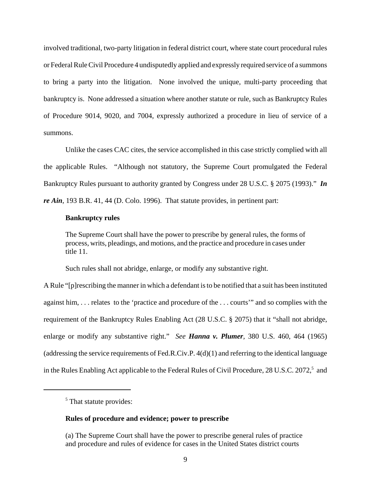involved traditional, two-party litigation in federal district court, where state court procedural rules or Federal Rule Civil Procedure 4 undisputedly applied and expressly required service of a summons to bring a party into the litigation. None involved the unique, multi-party proceeding that bankruptcy is. None addressed a situation where another statute or rule, such as Bankruptcy Rules of Procedure 9014, 9020, and 7004, expressly authorized a procedure in lieu of service of a summons.

Unlike the cases CAC cites, the service accomplished in this case strictly complied with all the applicable Rules. "Although not statutory, the Supreme Court promulgated the Federal Bankruptcy Rules pursuant to authority granted by Congress under 28 U.S.C. § 2075 (1993)." *In re Ain*, 193 B.R. 41, 44 (D. Colo. 1996). That statute provides, in pertinent part:

## **Bankruptcy rules**

The Supreme Court shall have the power to prescribe by general rules, the forms of process, writs, pleadings, and motions, and the practice and procedure in cases under title 11.

Such rules shall not abridge, enlarge, or modify any substantive right.

A Rule "[p]rescribing the manner in which a defendant is to be notified that a suit has been instituted against him, . . . relates to the 'practice and procedure of the . . . courts'" and so complies with the requirement of the Bankruptcy Rules Enabling Act (28 U.S.C. § 2075) that it "shall not abridge, enlarge or modify any substantive right." *See Hanna v. Plumer,* 380 U.S. 460, 464 (1965) (addressing the service requirements of Fed.R.Civ.P. 4(d)(1) and referring to the identical language in the Rules Enabling Act applicable to the Federal Rules of Civil Procedure, 28 U.S.C. 2072,<sup>5</sup> and

# **Rules of procedure and evidence; power to prescribe**

<sup>&</sup>lt;sup>5</sup> That statute provides:

<sup>(</sup>a) The Supreme Court shall have the power to prescribe general rules of practice and procedure and rules of evidence for cases in the United States district courts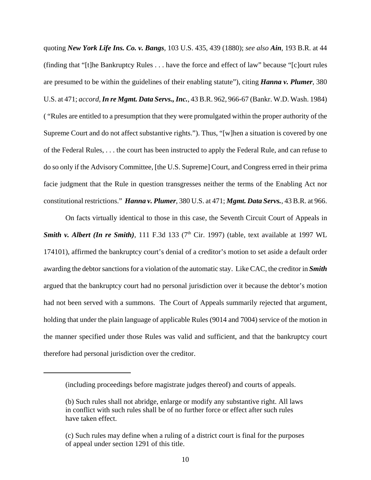quoting *New York Life Ins. Co. v. Bangs*, 103 U.S. 435, 439 (1880); *see also Ain*, 193 B.R. at 44 (finding that "[t]he Bankruptcy Rules . . . have the force and effect of law" because "[c]ourt rules are presumed to be within the guidelines of their enabling statute"), citing *Hanna v. Plumer*, 380 U.S. at 471; *accord, In re Mgmt. Data Servs., Inc.*, 43 B.R. 962, 966-67 (Bankr. W.D. Wash. 1984) ( "Rules are entitled to a presumption that they were promulgated within the proper authority of the Supreme Court and do not affect substantive rights."). Thus, "[w]hen a situation is covered by one of the Federal Rules, . . . the court has been instructed to apply the Federal Rule, and can refuse to do so only if the Advisory Committee, [the U.S. Supreme] Court, and Congress erred in their prima facie judgment that the Rule in question transgresses neither the terms of the Enabling Act nor constitutional restrictions." *Hanna v. Plumer*, 380 U.S. at 471; *Mgmt. Data Servs.*, 43 B.R. at 966.

On facts virtually identical to those in this case, the Seventh Circuit Court of Appeals in **Smith v. Albert (In re Smith)**, 111 F.3d 133 ( $7<sup>th</sup>$  Cir. 1997) (table, text available at 1997 WL 174101), affirmed the bankruptcy court's denial of a creditor's motion to set aside a default order awarding the debtor sanctions for a violation of the automatic stay. Like CAC, the creditor in *Smith* argued that the bankruptcy court had no personal jurisdiction over it because the debtor's motion had not been served with a summons. The Court of Appeals summarily rejected that argument, holding that under the plain language of applicable Rules (9014 and 7004) service of the motion in the manner specified under those Rules was valid and sufficient, and that the bankruptcy court therefore had personal jurisdiction over the creditor.

<sup>(</sup>including proceedings before magistrate judges thereof) and courts of appeals.

<sup>(</sup>b) Such rules shall not abridge, enlarge or modify any substantive right. All laws in conflict with such rules shall be of no further force or effect after such rules have taken effect.

<sup>(</sup>c) Such rules may define when a ruling of a district court is final for the purposes of appeal under section 1291 of this title.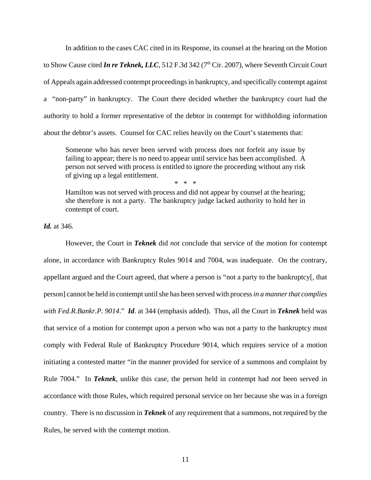In addition to the cases CAC cited in its Response, its counsel at the hearing on the Motion to Show Cause cited *In re Teknek, LLC*, 512 F.3d 342 (7<sup>th</sup> Cir. 2007), where Seventh Circuit Court of Appeals again addressed contempt proceedings in bankruptcy, and specifically contempt against a "non-party" in bankruptcy. The Court there decided whether the bankruptcy court had the authority to hold a former representative of the debtor in contempt for withholding information about the debtor's assets. Counsel for CAC relies heavily on the Court's statements that:

Someone who has never been served with process does not forfeit any issue by failing to appear; there is no need to appear until service has been accomplished. A person not served with process is entitled to ignore the proceeding without any risk of giving up a legal entitlement. \* \* \*

Hamilton was not served with process and did not appear by counsel at the hearing; she therefore is not a party. The bankruptcy judge lacked authority to hold her in contempt of court.

*Id.* at 346.

However, the Court in *Teknek* did *not* conclude that service of the motion for contempt alone, in accordance with Bankruptcy Rules 9014 and 7004, was inadequate. On the contrary, appellant argued and the Court agreed, that where a person is "not a party to the bankruptcy[, that person] cannot be held in contempt until she has been served with process *in a manner that complies with Fed.R.Bankr.P. 9014*." *Id*. at 344 (emphasis added). Thus, all the Court in *Teknek* held was that service of a motion for contempt upon a person who was not a party to the bankruptcy must comply with Federal Rule of Bankruptcy Procedure 9014, which requires service of a motion initiating a contested matter "in the manner provided for service of a summons and complaint by Rule 7004." In *Teknek*, unlike this case, the person held in contempt had *not* been served in accordance with those Rules, which required personal service on her because she was in a foreign country. There is no discussion in *Teknek* of any requirement that a summons, not required by the Rules, be served with the contempt motion.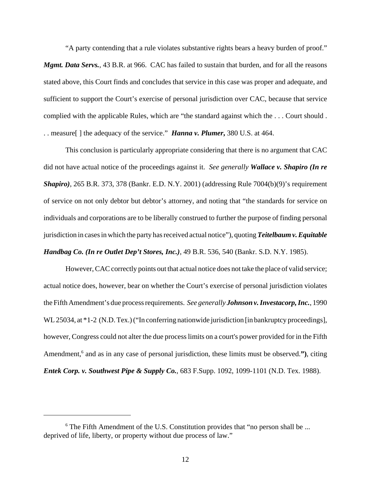"A party contending that a rule violates substantive rights bears a heavy burden of proof."

*Mgmt. Data Servs.*, 43 B.R. at 966. CAC has failed to sustain that burden, and for all the reasons stated above, this Court finds and concludes that service in this case was proper and adequate, and sufficient to support the Court's exercise of personal jurisdiction over CAC, because that service complied with the applicable Rules, which are "the standard against which the . . . Court should . . . measure[ ] the adequacy of the service." *Hanna v. Plumer***,** 380 U.S. at 464.

This conclusion is particularly appropriate considering that there is no argument that CAC did not have actual notice of the proceedings against it. *See generally Wallace v. Shapiro (In re Shapiro)*, 265 B.R. 373, 378 (Bankr. E.D. N.Y. 2001) (addressing Rule 7004(b)(9)'s requirement of service on not only debtor but debtor's attorney, and noting that "the standards for service on individuals and corporations are to be liberally construed to further the purpose of finding personal jurisdiction in cases in which the party has received actual notice"), quoting *Teitelbaum v. Equitable Handbag Co. (In re Outlet Dep't Stores, Inc.)*, 49 B.R. 536, 540 (Bankr. S.D. N.Y. 1985).

However, CAC correctly points out that actual notice does not take the place of valid service; actual notice does, however, bear on whether the Court's exercise of personal jurisdiction violates the Fifth Amendment's due process requirements. *See generally Johnson v. Investacorp, Inc.*, 1990 WL 25034, at  $*1-2$  (N.D. Tex.) ("In conferring nationwide jurisdiction [in bankruptcy proceedings], however, Congress could not alter the due process limits on a court's power provided for in the Fifth Amendment,<sup>6</sup> and as in any case of personal jurisdiction, these limits must be observed."), citing *Entek Corp. v. Southwest Pipe & Supply Co.*, 683 F.Supp. 1092, 1099-1101 (N.D. Tex. 1988).

<sup>&</sup>lt;sup>6</sup> The Fifth Amendment of the U.S. Constitution provides that "no person shall be ... deprived of life, liberty, or property without due process of law."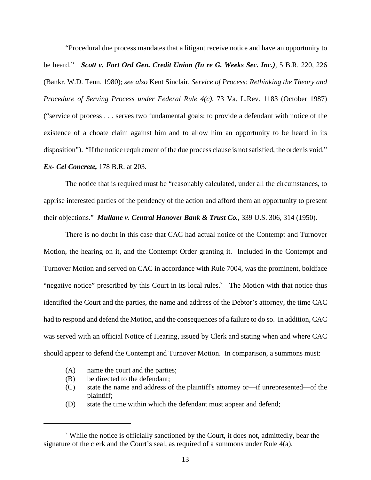"Procedural due process mandates that a litigant receive notice and have an opportunity to be heard." *Scott v. Fort Ord Gen. Credit Union (In re G. Weeks Sec. Inc.),* 5 B.R. 220, 226 (Bankr. W.D. Tenn. 1980); *see also* Kent Sinclair, *Service of Process: Rethinking the Theory and Procedure of Serving Process under Federal Rule 4(c)*, 73 Va. L.Rev. 1183 (October 1987) ("service of process . . . serves two fundamental goals: to provide a defendant with notice of the existence of a choate claim against him and to allow him an opportunity to be heard in its disposition"). "If the notice requirement of the due process clause is not satisfied, the order is void." *Ex- Cel Concrete,* 178 B.R. at 203.

The notice that is required must be "reasonably calculated, under all the circumstances, to apprise interested parties of the pendency of the action and afford them an opportunity to present their objections." *Mullane v. Central Hanover Bank & Trust Co.*, 339 U.S. 306, 314 (1950).

There is no doubt in this case that CAC had actual notice of the Contempt and Turnover Motion, the hearing on it, and the Contempt Order granting it. Included in the Contempt and Turnover Motion and served on CAC in accordance with Rule 7004, was the prominent, boldface "negative notice" prescribed by this Court in its local rules.<sup>7</sup> The Motion with that notice thus identified the Court and the parties, the name and address of the Debtor's attorney, the time CAC had to respond and defend the Motion, and the consequences of a failure to do so. In addition, CAC was served with an official Notice of Hearing, issued by Clerk and stating when and where CAC should appear to defend the Contempt and Turnover Motion. In comparison, a summons must:

- (A) name the court and the parties;
- (B) be directed to the defendant;
- (C) state the name and address of the plaintiff's attorney or—if unrepresented—of the plaintiff;
- (D) state the time within which the defendant must appear and defend;

<sup>&</sup>lt;sup>7</sup> While the notice is officially sanctioned by the Court, it does not, admittedly, bear the signature of the clerk and the Court's seal, as required of a summons under Rule 4(a).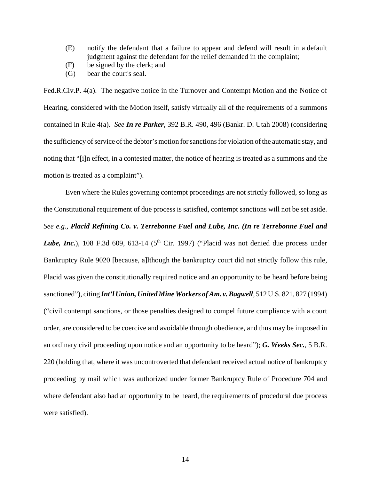- (E) notify the defendant that a failure to appear and defend will result in a default judgment against the defendant for the relief demanded in the complaint;
- (F) be signed by the clerk; and
- (G) bear the court's seal.

Fed.R.Civ.P. 4(a). The negative notice in the Turnover and Contempt Motion and the Notice of Hearing, considered with the Motion itself, satisfy virtually all of the requirements of a summons contained in Rule 4(a). *See In re Parker*, 392 B.R. 490, 496 (Bankr. D. Utah 2008) (considering the sufficiency of service of the debtor's motion for sanctions for violation of the automatic stay, and noting that "[i]n effect, in a contested matter, the notice of hearing is treated as a summons and the motion is treated as a complaint").

Even where the Rules governing contempt proceedings are not strictly followed, so long as the Constitutional requirement of due process is satisfied, contempt sanctions will not be set aside. *See e.g., Placid Refining Co. v. Terrebonne Fuel and Lube, Inc. (In re Terrebonne Fuel and Lube, Inc.*), 108 F.3d 609, 613-14 ( $5<sup>th</sup>$  Cir. 1997) ("Placid was not denied due process under Bankruptcy Rule 9020 [because, a]lthough the bankruptcy court did not strictly follow this rule, Placid was given the constitutionally required notice and an opportunity to be heard before being sanctioned"), citing *Int'l Union, United Mine Workers of Am. v. Bagwell*, 512 U.S. 821, 827 (1994) ("civil contempt sanctions, or those penalties designed to compel future compliance with a court order, are considered to be coercive and avoidable through obedience, and thus may be imposed in an ordinary civil proceeding upon notice and an opportunity to be heard"); *G. Weeks Sec.,* 5 B.R. 220 (holding that, where it was uncontroverted that defendant received actual notice of bankruptcy proceeding by mail which was authorized under former Bankruptcy Rule of Procedure 704 and where defendant also had an opportunity to be heard, the requirements of procedural due process were satisfied).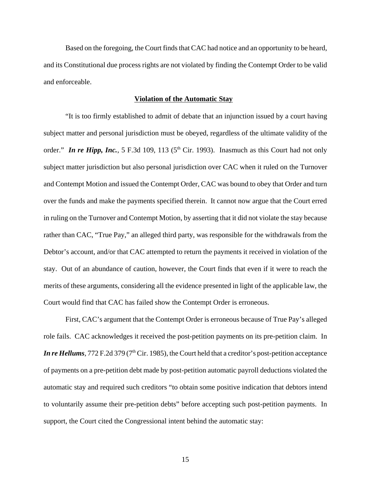Based on the foregoing, the Court finds that CAC had notice and an opportunity to be heard, and its Constitutional due process rights are not violated by finding the Contempt Order to be valid and enforceable.

#### **Violation of the Automatic Stay**

"It is too firmly established to admit of debate that an injunction issued by a court having subject matter and personal jurisdiction must be obeyed, regardless of the ultimate validity of the order." *In re Hipp, Inc.*, 5 F.3d 109, 113 ( $5<sup>th</sup>$  Cir. 1993). Inasmuch as this Court had not only subject matter jurisdiction but also personal jurisdiction over CAC when it ruled on the Turnover and Contempt Motion and issued the Contempt Order, CAC was bound to obey that Order and turn over the funds and make the payments specified therein. It cannot now argue that the Court erred in ruling on the Turnover and Contempt Motion, by asserting that it did not violate the stay because rather than CAC, "True Pay," an alleged third party, was responsible for the withdrawals from the Debtor's account, and/or that CAC attempted to return the payments it received in violation of the stay. Out of an abundance of caution, however, the Court finds that even if it were to reach the merits of these arguments, considering all the evidence presented in light of the applicable law, the Court would find that CAC has failed show the Contempt Order is erroneous.

First, CAC's argument that the Contempt Order is erroneous because of True Pay's alleged role fails. CAC acknowledges it received the post-petition payments on its pre-petition claim. In *In re Hellums*, 772 F.2d 379 (7<sup>th</sup> Cir. 1985), the Court held that a creditor's post-petition acceptance of payments on a pre-petition debt made by post-petition automatic payroll deductions violated the automatic stay and required such creditors "to obtain some positive indication that debtors intend to voluntarily assume their pre-petition debts" before accepting such post-petition payments. In support, the Court cited the Congressional intent behind the automatic stay: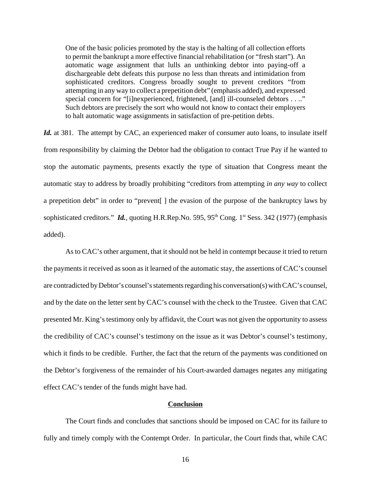One of the basic policies promoted by the stay is the halting of all collection efforts to permit the bankrupt a more effective financial rehabilitation (or "fresh start"). An automatic wage assignment that lulls an unthinking debtor into paying-off a dischargeable debt defeats this purpose no less than threats and intimidation from sophisticated creditors. Congress broadly sought to prevent creditors "from attempting in any way to collect a prepetition debt" (emphasis added), and expressed special concern for "[i]nexperienced, frightened, [and] ill-counseled debtors . . .." Such debtors are precisely the sort who would not know to contact their employers to halt automatic wage assignments in satisfaction of pre-petition debts.

Id. at 381. The attempt by CAC, an experienced maker of consumer auto loans, to insulate itself from responsibility by claiming the Debtor had the obligation to contact True Pay if he wanted to stop the automatic payments, presents exactly the type of situation that Congress meant the automatic stay to address by broadly prohibiting "creditors from attempting *in any way* to collect a prepetition debt" in order to "prevent[ ] the evasion of the purpose of the bankruptcy laws by sophisticated creditors." *Id.*, quoting H.R.Rep.No. 595, 95<sup>th</sup> Cong. 1<sup>st</sup> Sess. 342 (1977) (emphasis added).

As to CAC's other argument, that it should not be held in contempt because it tried to return the payments it received as soon as it learned of the automatic stay, the assertions of CAC's counsel are contradicted by Debtor's counsel's statements regarding his conversation(s) with CAC's counsel, and by the date on the letter sent by CAC's counsel with the check to the Trustee. Given that CAC presented Mr. King's testimony only by affidavit, the Court was not given the opportunity to assess the credibility of CAC's counsel's testimony on the issue as it was Debtor's counsel's testimony, which it finds to be credible. Further, the fact that the return of the payments was conditioned on the Debtor's forgiveness of the remainder of his Court-awarded damages negates any mitigating effect CAC's tender of the funds might have had.

## **Conclusion**

The Court finds and concludes that sanctions should be imposed on CAC for its failure to fully and timely comply with the Contempt Order. In particular, the Court finds that, while CAC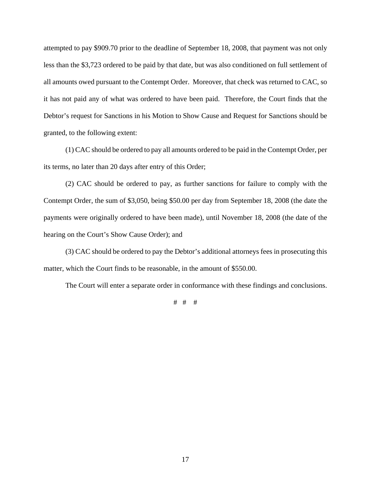attempted to pay \$909.70 prior to the deadline of September 18, 2008, that payment was not only less than the \$3,723 ordered to be paid by that date, but was also conditioned on full settlement of all amounts owed pursuant to the Contempt Order. Moreover, that check was returned to CAC, so it has not paid any of what was ordered to have been paid. Therefore, the Court finds that the Debtor's request for Sanctions in his Motion to Show Cause and Request for Sanctions should be granted, to the following extent:

(1) CAC should be ordered to pay all amounts ordered to be paid in the Contempt Order, per its terms, no later than 20 days after entry of this Order;

(2) CAC should be ordered to pay, as further sanctions for failure to comply with the Contempt Order, the sum of \$3,050, being \$50.00 per day from September 18, 2008 (the date the payments were originally ordered to have been made), until November 18, 2008 (the date of the hearing on the Court's Show Cause Order); and

(3) CAC should be ordered to pay the Debtor's additional attorneys fees in prosecuting this matter, which the Court finds to be reasonable, in the amount of \$550.00.

The Court will enter a separate order in conformance with these findings and conclusions.

# # #